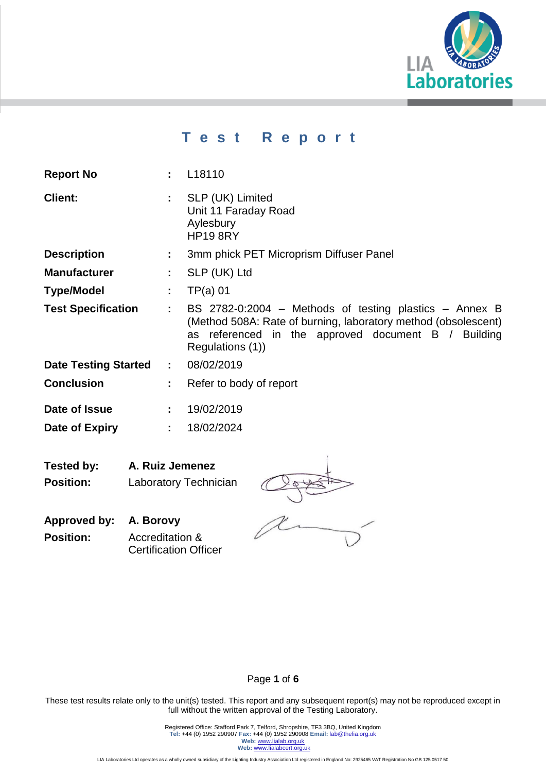

# **T e s t R e p o r t**

| <b>Report No</b>              |                                         | : L18110                                                                                                                                                                                               |  |  |  |
|-------------------------------|-----------------------------------------|--------------------------------------------------------------------------------------------------------------------------------------------------------------------------------------------------------|--|--|--|
| <b>Client:</b>                | ÷.                                      | SLP (UK) Limited<br>Unit 11 Faraday Road<br>Aylesbury<br><b>HP19 8RY</b>                                                                                                                               |  |  |  |
| <b>Description</b>            | ÷.                                      | 3mm phick PET Microprism Diffuser Panel                                                                                                                                                                |  |  |  |
| <b>Manufacturer</b>           | t.                                      | SLP (UK) Ltd                                                                                                                                                                                           |  |  |  |
| <b>Type/Model</b>             | ÷.                                      | $TP(a)$ 01                                                                                                                                                                                             |  |  |  |
| <b>Test Specification</b>     | ÷                                       | BS 2782-0:2004 – Methods of testing plastics – Annex B<br>(Method 508A: Rate of burning, laboratory method (obsolescent)<br>referenced in the approved document B / Building<br>as<br>Regulations (1)) |  |  |  |
| <b>Date Testing Started</b>   | $\mathbf{L}$                            | 08/02/2019                                                                                                                                                                                             |  |  |  |
| <b>Conclusion</b>             | ÷                                       | Refer to body of report                                                                                                                                                                                |  |  |  |
| Date of Issue                 | 19/02/2019<br>$\mathbf{L}^{\text{max}}$ |                                                                                                                                                                                                        |  |  |  |
| Date of Expiry                | ÷.                                      | 18/02/2024                                                                                                                                                                                             |  |  |  |
| Tested by:<br>A. Ruiz Jemenez |                                         |                                                                                                                                                                                                        |  |  |  |

**Position:** Laboratory Technician



**Approved by: A. Borovy Position:** Accreditation & Certification Officer

#### Page **1** of **6**

These test results relate only to the unit(s) tested. This report and any subsequent report(s) may not be reproduced except in full without the written approval of the Testing Laboratory.

Registered Office: Stafford Park 7, Telford, Shropshire, TF3 3BQ, United Kingdom<br>Tel: +44 (0) 1952 290907 Fax: +44 (0) 1952 290908 Email: lab@thelia.org.uk<br>Web: <u>[www.lialab.org.uk](http://www.lialab.org.uk/)</u><br>Web: <u>www.lialabcert.org.uk</u>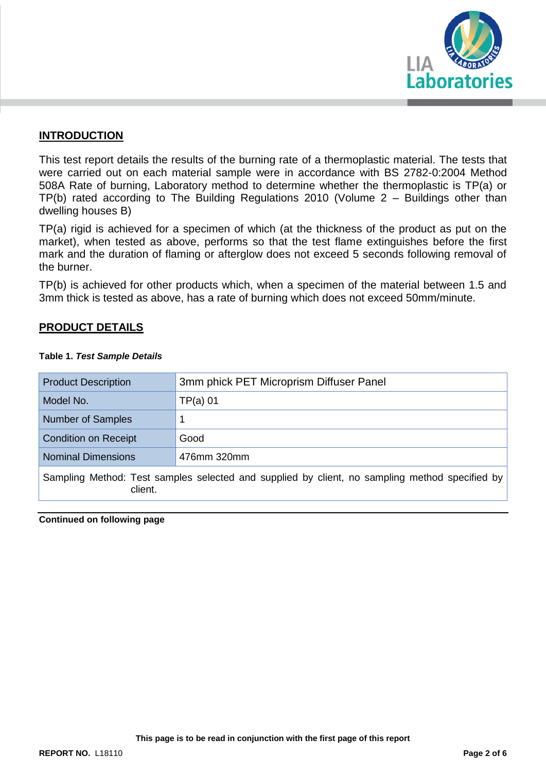

#### **INTRODUCTION**

This test report details the results of the burning rate of a thermoplastic material. The tests that were carried out on each material sample were in accordance with BS 2782-0:2004 Method 508A Rate of burning, Laboratory method to determine whether the thermoplastic is TP(a) or TP(b) rated according to The Building Regulations 2010 (Volume 2 – Buildings other than dwelling houses B)

TP(a) rigid is achieved for a specimen of which (at the thickness of the product as put on the market), when tested as above, performs so that the test flame extinguishes before the first mark and the duration of flaming or afterglow does not exceed 5 seconds following removal of the burner.

TP(b) is achieved for other products which, when a specimen of the material between 1.5 and 3mm thick is tested as above, has a rate of burning which does not exceed 50mm/minute.

#### **PRODUCT DETAILS**

| <b>Product Description</b>                                                                                | 3mm phick PET Microprism Diffuser Panel |  |  |  |
|-----------------------------------------------------------------------------------------------------------|-----------------------------------------|--|--|--|
| Model No.                                                                                                 | $TP(a)$ 01                              |  |  |  |
| <b>Number of Samples</b>                                                                                  | 1                                       |  |  |  |
| <b>Condition on Receipt</b>                                                                               | Good                                    |  |  |  |
| <b>Nominal Dimensions</b>                                                                                 | 476mm 320mm                             |  |  |  |
| Sampling Method: Test samples selected and supplied by client, no sampling method specified by<br>client. |                                         |  |  |  |

#### **Table 1.** *Test Sample Details*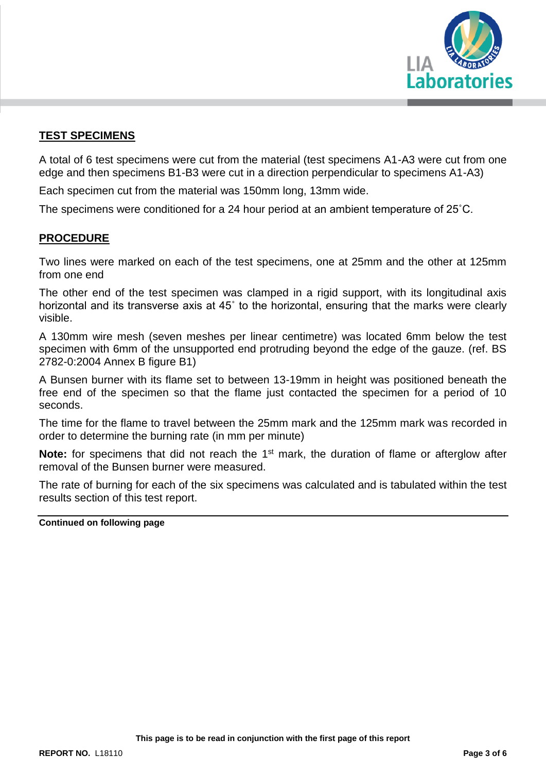

### **TEST SPECIMENS**

A total of 6 test specimens were cut from the material (test specimens A1-A3 were cut from one edge and then specimens B1-B3 were cut in a direction perpendicular to specimens A1-A3)

Each specimen cut from the material was 150mm long, 13mm wide.

The specimens were conditioned for a 24 hour period at an ambient temperature of 25˚C.

#### **PROCEDURE**

Two lines were marked on each of the test specimens, one at 25mm and the other at 125mm from one end

The other end of the test specimen was clamped in a rigid support, with its longitudinal axis horizontal and its transverse axis at 45˚ to the horizontal, ensuring that the marks were clearly visible.

A 130mm wire mesh (seven meshes per linear centimetre) was located 6mm below the test specimen with 6mm of the unsupported end protruding beyond the edge of the gauze. (ref. BS 2782-0:2004 Annex B figure B1)

A Bunsen burner with its flame set to between 13-19mm in height was positioned beneath the free end of the specimen so that the flame just contacted the specimen for a period of 10 seconds.

The time for the flame to travel between the 25mm mark and the 125mm mark was recorded in order to determine the burning rate (in mm per minute)

**Note:** for specimens that did not reach the 1<sup>st</sup> mark, the duration of flame or afterglow after removal of the Bunsen burner were measured.

The rate of burning for each of the six specimens was calculated and is tabulated within the test results section of this test report.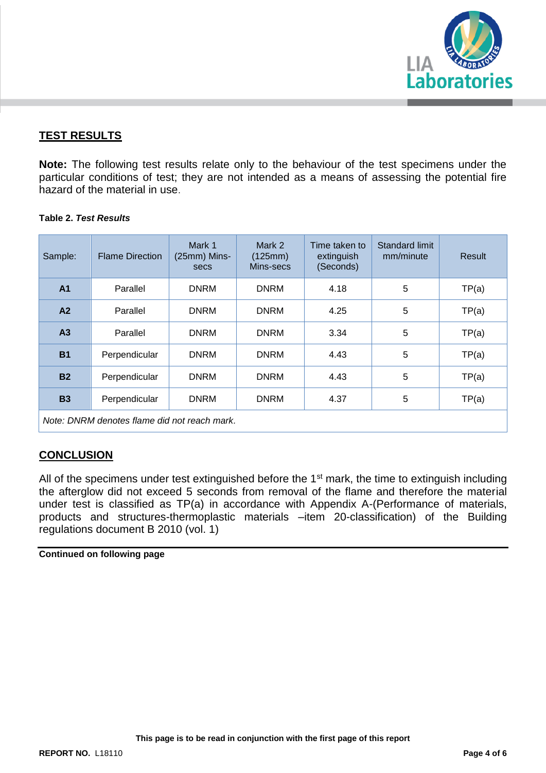

## **TEST RESULTS**

**Note:** The following test results relate only to the behaviour of the test specimens under the particular conditions of test; they are not intended as a means of assessing the potential fire hazard of the material in use.

#### **Table 2.** *Test Results*

| Sample:                                      | <b>Flame Direction</b> | Mark 1<br>(25mm) Mins-<br>secs | Mark 2<br>(125mm)<br>Mins-secs | Time taken to<br>extinguish<br>(Seconds) | Standard limit<br>mm/minute | Result |  |  |  |
|----------------------------------------------|------------------------|--------------------------------|--------------------------------|------------------------------------------|-----------------------------|--------|--|--|--|
| A <sub>1</sub>                               | Parallel               | <b>DNRM</b>                    | <b>DNRM</b>                    | 4.18                                     | 5                           | TP(a)  |  |  |  |
| A2                                           | Parallel               | <b>DNRM</b>                    | <b>DNRM</b>                    | 4.25                                     | 5                           | TP(a)  |  |  |  |
| A <sub>3</sub>                               | Parallel               | <b>DNRM</b>                    | <b>DNRM</b>                    | 3.34                                     | 5                           | TP(a)  |  |  |  |
| <b>B1</b>                                    | Perpendicular          | <b>DNRM</b>                    | <b>DNRM</b>                    | 4.43                                     | 5                           | TP(a)  |  |  |  |
| <b>B2</b>                                    | Perpendicular          | <b>DNRM</b>                    | <b>DNRM</b>                    | 4.43                                     | 5                           | TP(a)  |  |  |  |
| <b>B3</b>                                    | Perpendicular          | <b>DNRM</b>                    | <b>DNRM</b>                    | 4.37                                     | 5                           | TP(a)  |  |  |  |
| Note: DNRM denotes flame did not reach mark. |                        |                                |                                |                                          |                             |        |  |  |  |

#### **CONCLUSION**

All of the specimens under test extinguished before the 1<sup>st</sup> mark, the time to extinguish including the afterglow did not exceed 5 seconds from removal of the flame and therefore the material under test is classified as TP(a) in accordance with Appendix A-(Performance of materials, products and structures-thermoplastic materials –item 20-classification) of the Building regulations document B 2010 (vol. 1)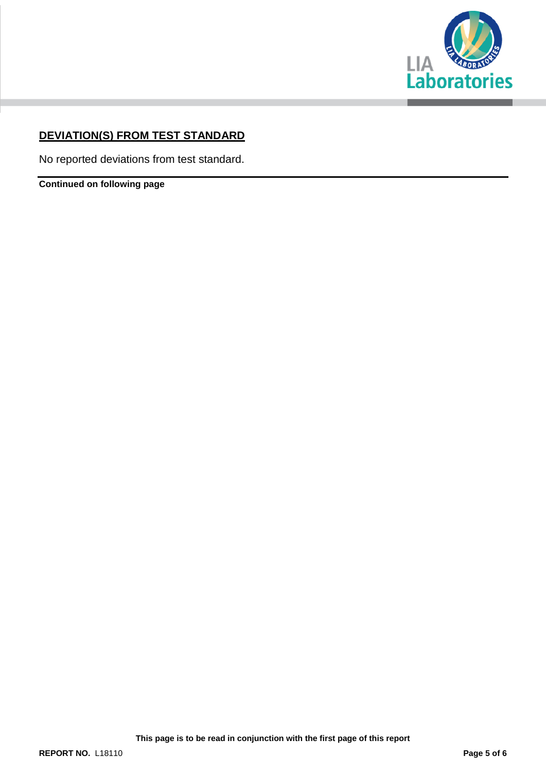

## **DEVIATION(S) FROM TEST STANDARD**

No reported deviations from test standard.